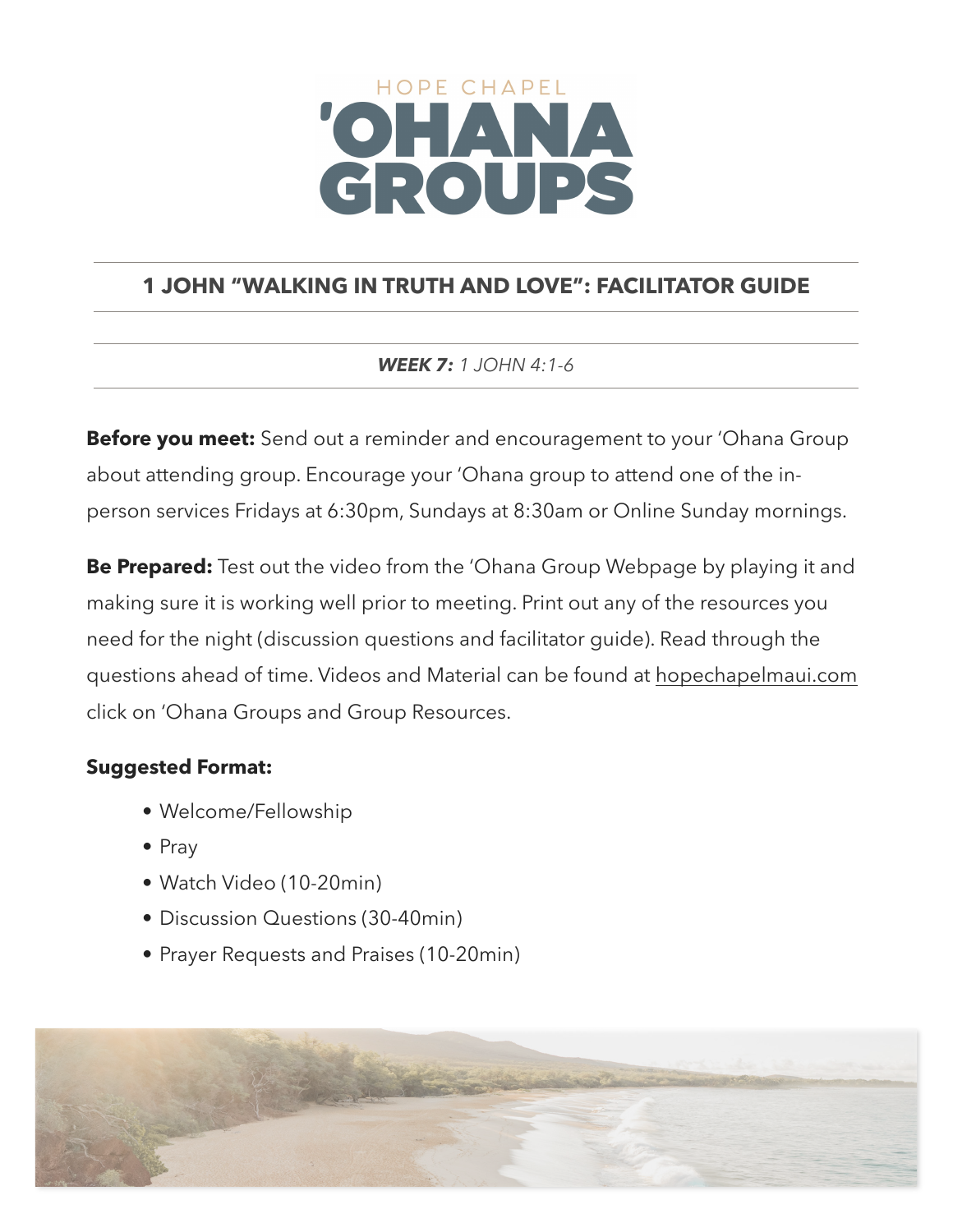# HOPE CHAPEL CROUPS

# **1 JOHN "WALKING IN TRUTH AND LOVE": FACILITATOR GUIDE**

*WEEK 7: 1 JOHN 4:1-6*

**Before you meet:** Send out a reminder and encouragement to your 'Ohana Group about attending group. Encourage your 'Ohana group to attend one of the inperson services Fridays at 6:30pm, Sundays at 8:30am or Online Sunday mornings.

**Be Prepared:** Test out the video from the 'Ohana Group Webpage by playing it and making sure it is working well prior to meeting. Print out any of the resources you need for the night (discussion questions and facilitator guide). Read through the questions ahead of time. Videos and Material can be found at [hopechapelmaui.com](http://care.hopechapelmaui.com) click on 'Ohana Groups and Group Resources.

## **Suggested Format:**

- Welcome/Fellowship
- Pray
- Watch Video (10-20min)
- Discussion Questions (30-40min)
- Prayer Requests and Praises (10-20min)